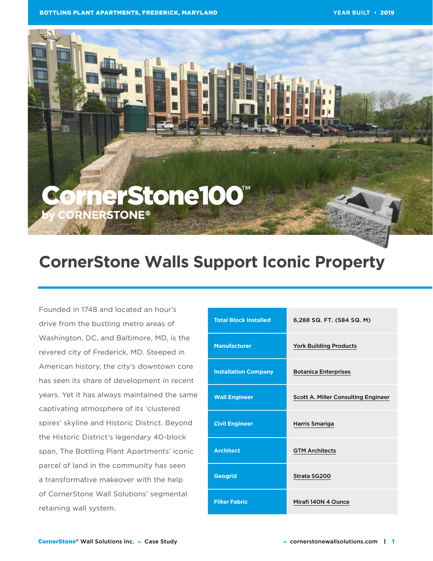

# **CornerStone Walls Support Iconic Property**

Founded in 1748 and located an hour's drive from the bustling metro areas of Washington, DC, and Baltimore, MD, is the revered city of Frederick, MD. Steeped in American history, the city's downtown core has seen its share of development in recent years. Yet it has always maintained the same captivating atmosphere of its 'clustered spires' skyline and Historic District. Beyond the Historic District's legendary 40-block span, The Bottling Plant Apartments' iconic parcel of land in the community has seen a transformative makeover with the help of CornerStone Wall Solutions' segmental retaining wall system.

| <b>Total Block Installed</b> | 6,288 SQ. FT. (584 SQ. M)                  |
|------------------------------|--------------------------------------------|
| <b>Manufacturer</b>          | <b>York Building Products</b>              |
| <b>Installation Company</b>  | <b>Botanica Enterprises</b>                |
| <b>Wall Engineer</b>         | <b>Scott A. Miller Consulting Engineer</b> |
| <b>Civil Engineer</b>        | Harris Smariga                             |
| <b>Architect</b>             | <b>GTM Architects</b>                      |
| <b>Geogrid</b>               | Strata SG200                               |
| <b>Filter Fabric</b>         | Mirafi 140N 4 Ounce                        |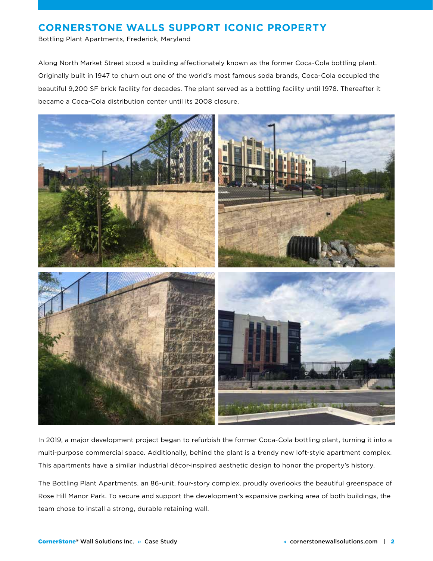Bottling Plant Apartments, Frederick, Maryland

Along North Market Street stood a building affectionately known as the former Coca-Cola bottling plant. Originally built in 1947 to churn out one of the world's most famous soda brands, Coca-Cola occupied the beautiful 9,200 SF brick facility for decades. The plant served as a bottling facility until 1978. Thereafter it became a Coca-Cola distribution center until its 2008 closure.



In 2019, a major development project began to refurbish the former Coca-Cola bottling plant, turning it into a multi-purpose commercial space. Additionally, behind the plant is a trendy new loft-style apartment complex. This apartments have a similar industrial décor-inspired aesthetic design to honor the property's history.

The Bottling Plant Apartments, an 86-unit, four-story complex, proudly overlooks the beautiful greenspace of Rose Hill Manor Park. To secure and support the development's expansive parking area of both buildings, the team chose to install a strong, durable retaining wall.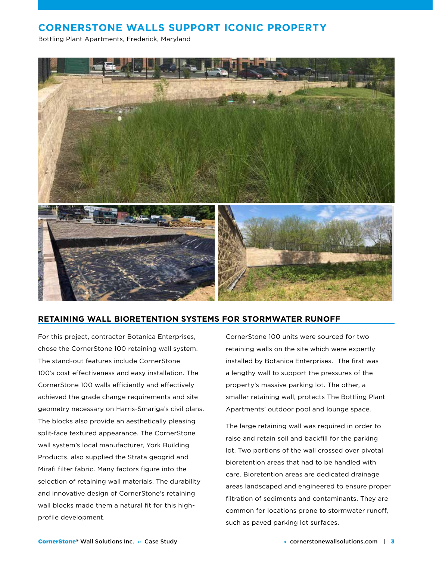Bottling Plant Apartments, Frederick, Maryland



#### **RETAINING WALL BIORETENTION SYSTEMS FOR STORMWATER RUNOFF**

For this project, contractor Botanica Enterprises, chose the CornerStone 100 retaining wall system. The stand-out features include CornerStone 100's cost effectiveness and easy installation. The CornerStone 100 walls efficiently and effectively achieved the grade change requirements and site geometry necessary on Harris-Smariga's civil plans. The blocks also provide an aesthetically pleasing split-face textured appearance. The CornerStone wall system's local manufacturer, York Building Products, also supplied the Strata geogrid and Mirafi filter fabric. Many factors figure into the selection of retaining wall materials. The durability and innovative design of CornerStone's retaining wall blocks made them a natural fit for this highprofile development.

CornerStone 100 units were sourced for two retaining walls on the site which were expertly installed by Botanica Enterprises. The first was a lengthy wall to support the pressures of the property's massive parking lot. The other, a smaller retaining wall, protects The Bottling Plant Apartments' outdoor pool and lounge space.

The large retaining wall was required in order to raise and retain soil and backfill for the parking lot. Two portions of the wall crossed over pivotal bioretention areas that had to be handled with care. Bioretention areas are dedicated drainage areas landscaped and engineered to ensure proper filtration of sediments and contaminants. They are common for locations prone to stormwater runoff, such as paved parking lot surfaces.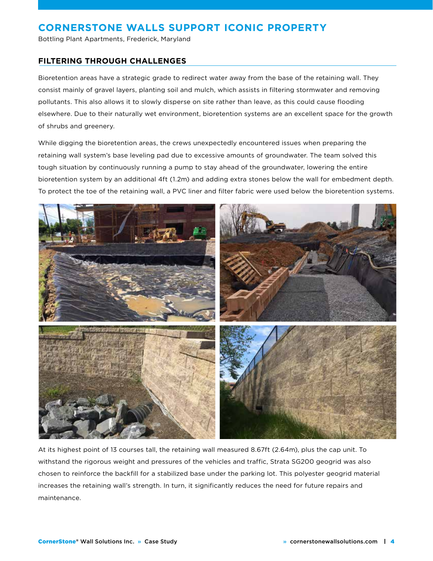Bottling Plant Apartments, Frederick, Maryland

#### **FILTERING THROUGH CHALLENGES**

Bioretention areas have a strategic grade to redirect water away from the base of the retaining wall. They consist mainly of gravel layers, planting soil and mulch, which assists in filtering stormwater and removing pollutants. This also allows it to slowly disperse on site rather than leave, as this could cause flooding elsewhere. Due to their naturally wet environment, bioretention systems are an excellent space for the growth of shrubs and greenery.

While digging the bioretention areas, the crews unexpectedly encountered issues when preparing the retaining wall system's base leveling pad due to excessive amounts of groundwater. The team solved this tough situation by continuously running a pump to stay ahead of the groundwater, lowering the entire bioretention system by an additional 4ft (1.2m) and adding extra stones below the wall for embedment depth. To protect the toe of the retaining wall, a PVC liner and filter fabric were used below the bioretention systems.



At its highest point of 13 courses tall, the retaining wall measured 8.67ft (2.64m), plus the cap unit. To withstand the rigorous weight and pressures of the vehicles and traffic, Strata SG200 geogrid was also chosen to reinforce the backfill for a stabilized base under the parking lot. This polyester geogrid material increases the retaining wall's strength. In turn, it significantly reduces the need for future repairs and maintenance.